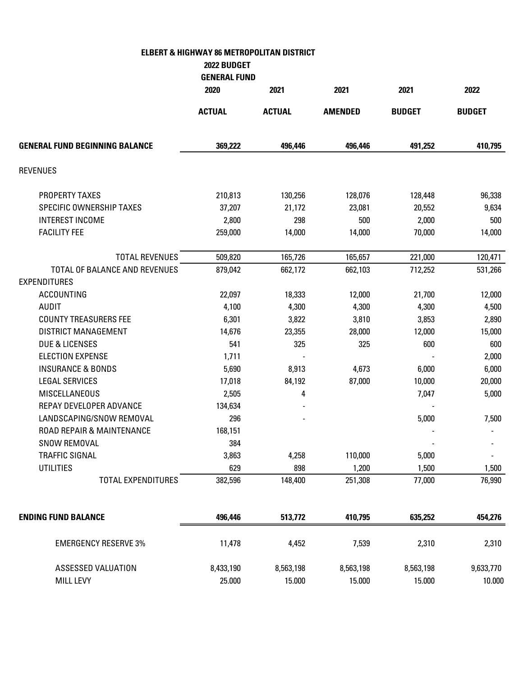## **ELBERT & HIGHWAY 86 METROPOLITAN DISTRICT**

**2022 BUDGET** 

|                                                      | <b>GENERAL FUND</b> |               |                |               |               |
|------------------------------------------------------|---------------------|---------------|----------------|---------------|---------------|
|                                                      | 2020                | 2021          | 2021           | 2021          | 2022          |
|                                                      | <b>ACTUAL</b>       | <b>ACTUAL</b> | <b>AMENDED</b> | <b>BUDGET</b> | <b>BUDGET</b> |
| <b>GENERAL FUND BEGINNING BALANCE</b>                | 369,222             | 496,446       | 496,446        | 491,252       | 410,795       |
| <b>REVENUES</b>                                      |                     |               |                |               |               |
| PROPERTY TAXES                                       | 210,813             | 130,256       | 128,076        | 128,448       | 96,338        |
| SPECIFIC OWNERSHIP TAXES                             | 37,207              | 21,172        | 23,081         | 20,552        | 9,634         |
| <b>INTEREST INCOME</b>                               | 2,800               | 298           | 500            | 2,000         | 500           |
| <b>FACILITY FEE</b>                                  | 259,000             | 14,000        | 14,000         | 70,000        | 14,000        |
| <b>TOTAL REVENUES</b>                                | 509,820             | 165,726       | 165,657        | 221,000       | 120,471       |
| TOTAL OF BALANCE AND REVENUES<br><b>EXPENDITURES</b> | 879,042             | 662,172       | 662,103        | 712,252       | 531,266       |
| <b>ACCOUNTING</b>                                    | 22,097              | 18,333        | 12,000         | 21,700        | 12,000        |
| <b>AUDIT</b>                                         | 4,100               | 4,300         | 4,300          | 4,300         | 4,500         |
| <b>COUNTY TREASURERS FEE</b>                         | 6,301               | 3,822         | 3,810          | 3,853         | 2,890         |
| <b>DISTRICT MANAGEMENT</b>                           | 14,676              | 23,355        | 28,000         | 12,000        | 15,000        |
| <b>DUE &amp; LICENSES</b>                            | 541                 | 325           | 325            | 600           | 600           |
| <b>ELECTION EXPENSE</b>                              | 1,711               |               |                |               | 2,000         |
| <b>INSURANCE &amp; BONDS</b>                         | 5,690               | 8,913         | 4,673          | 6,000         | 6,000         |
| <b>LEGAL SERVICES</b>                                | 17,018              | 84,192        | 87,000         | 10,000        | 20,000        |
| <b>MISCELLANEOUS</b>                                 | 2,505               | 4             |                | 7,047         | 5,000         |
| REPAY DEVELOPER ADVANCE                              | 134,634             |               |                |               |               |
| LANDSCAPING/SNOW REMOVAL                             | 296                 |               |                | 5,000         | 7,500         |
| ROAD REPAIR & MAINTENANCE                            | 168,151             |               |                |               |               |
| SNOW REMOVAL                                         | 384                 |               |                |               |               |
| <b>TRAFFIC SIGNAL</b>                                | 3,863               | 4,258         | 110,000        | 5,000         |               |
| <b>UTILITIES</b>                                     | 629                 | 898           | 1,200          | 1,500         | 1,500         |
| <b>TOTAL EXPENDITURES</b>                            | 382,596             | 148,400       | 251,308        | 77,000        | 76,990        |
| <b>ENDING FUND BALANCE</b>                           | 496,446             | 513,772       | 410,795        | 635,252       | 454,276       |
|                                                      |                     |               |                |               |               |
| <b>EMERGENCY RESERVE 3%</b>                          | 11,478              | 4,452         | 7,539          | 2,310         | 2,310         |
| ASSESSED VALUATION                                   | 8,433,190           | 8,563,198     | 8,563,198      | 8,563,198     | 9,633,770     |
| <b>MILL LEVY</b>                                     | 25.000              | 15.000        | 15.000         | 15.000        | 10.000        |